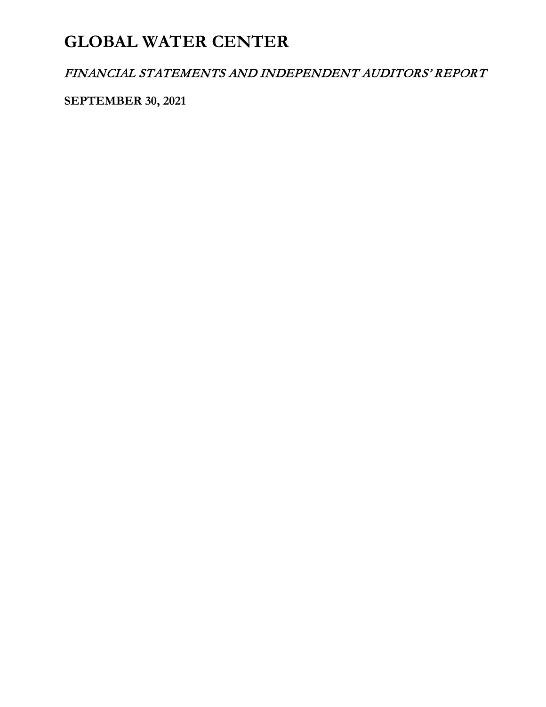## FINANCIAL STATEMENTS AND INDEPENDENT AUDITORS' REPORT

**SEPTEMBER 30, 2021**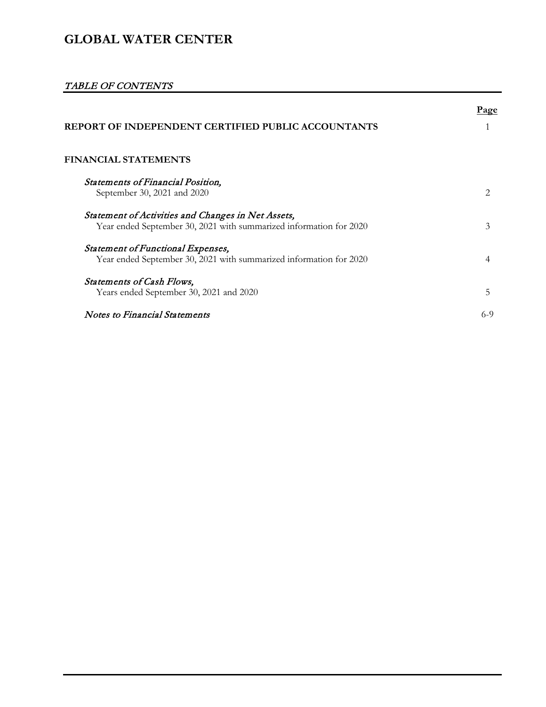### TABLE OF CONTENTS

|                                                                    | Page |
|--------------------------------------------------------------------|------|
| REPORT OF INDEPENDENT CERTIFIED PUBLIC ACCOUNTANTS                 |      |
| <b>FINANCIAL STATEMENTS</b>                                        |      |
| <b>Statements of Financial Position,</b>                           |      |
| September 30, 2021 and 2020                                        |      |
| Statement of Activities and Changes in Net Assets,                 |      |
| Year ended September 30, 2021 with summarized information for 2020 | 3    |
| Statement of Functional Expenses,                                  |      |
| Year ended September 30, 2021 with summarized information for 2020 |      |
| Statements of Cash Flows,                                          |      |
| Years ended September 30, 2021 and 2020                            | 5    |
| <b>Notes to Financial Statements</b>                               | 6-9  |
|                                                                    |      |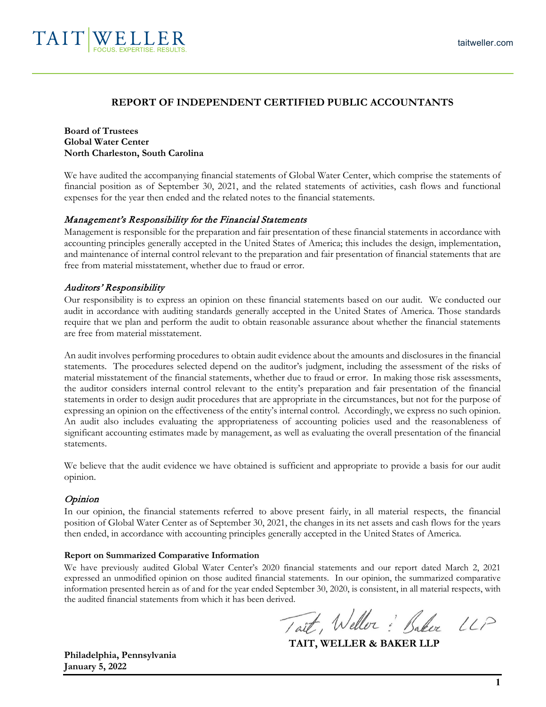

#### **REPORT OF INDEPENDENT CERTIFIED PUBLIC ACCOUNTANTS**

#### **Board of Trustees Global Water Center North Charleston, South Carolina**

We have audited the accompanying financial statements of Global Water Center, which comprise the statements of financial position as of September 30, 2021, and the related statements of activities, cash flows and functional expenses for the year then ended and the related notes to the financial statements.

#### Management's Responsibility for the Financial Statements

Management is responsible for the preparation and fair presentation of these financial statements in accordance with accounting principles generally accepted in the United States of America; this includes the design, implementation, and maintenance of internal control relevant to the preparation and fair presentation of financial statements that are free from material misstatement, whether due to fraud or error.

#### Auditors' Responsibility

Our responsibility is to express an opinion on these financial statements based on our audit. We conducted our audit in accordance with auditing standards generally accepted in the United States of America. Those standards require that we plan and perform the audit to obtain reasonable assurance about whether the financial statements are free from material misstatement.

An audit involves performing procedures to obtain audit evidence about the amounts and disclosures in the financial statements. The procedures selected depend on the auditor's judgment, including the assessment of the risks of material misstatement of the financial statements, whether due to fraud or error. In making those risk assessments, the auditor considers internal control relevant to the entity's preparation and fair presentation of the financial statements in order to design audit procedures that are appropriate in the circumstances, but not for the purpose of expressing an opinion on the effectiveness of the entity's internal control. Accordingly, we express no such opinion. An audit also includes evaluating the appropriateness of accounting policies used and the reasonableness of significant accounting estimates made by management, as well as evaluating the overall presentation of the financial statements.

We believe that the audit evidence we have obtained is sufficient and appropriate to provide a basis for our audit opinion.

#### Opinion

In our opinion, the financial statements referred to above present fairly, in all material respects, the financial position of Global Water Center as of September 30, 2021, the changes in its net assets and cash flows for the years then ended, in accordance with accounting principles generally accepted in the United States of America.

#### **Report on Summarized Comparative Information**

We have previously audited Global Water Center's 2020 financial statements and our report dated March 2, 2021 expressed an unmodified opinion on those audited financial statements. In our opinion, the summarized comparative information presented herein as of and for the year ended September 30, 2020, is consistent, in all material respects, with the audited financial statements from which it has been derived.

Tait, Weller: Baker LLP

**TAIT, WELLER & BAKER LLP**

**Philadelphia, Pennsylvania January 5, 2022**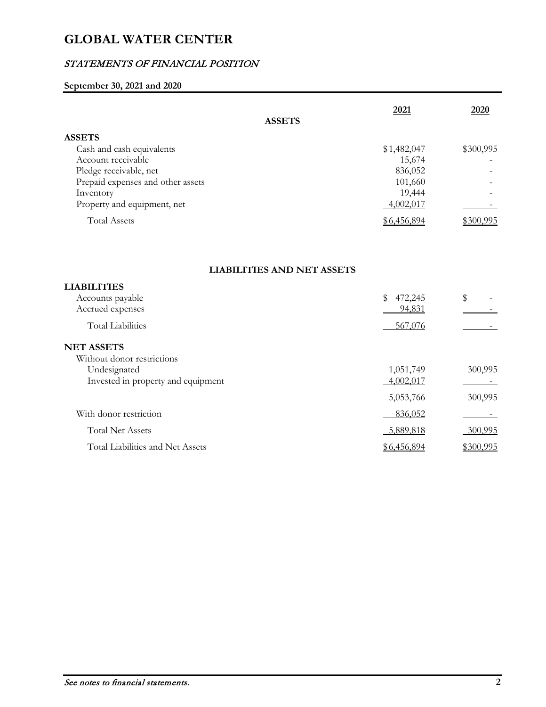### STATEMENTS OF FINANCIAL POSITION

#### **September 30, 2021 and 2020**

|                                   | 2021        | 2020      |
|-----------------------------------|-------------|-----------|
| <b>ASSETS</b>                     |             |           |
| <b>ASSETS</b>                     |             |           |
| Cash and cash equivalents         | \$1,482,047 | \$300,995 |
| Account receivable                | 15,674      |           |
| Pledge receivable, net            | 836,052     |           |
| Prepaid expenses and other assets | 101,660     |           |
| Inventory                         | 19,444      |           |
| Property and equipment, net       | 4,002,017   |           |
| <b>Total Assets</b>               | \$6,456,894 |           |

#### **LIABILITIES AND NET ASSETS**

| <b>LIABILITIES</b>                   |                         |           |
|--------------------------------------|-------------------------|-----------|
| Accounts payable<br>Accrued expenses | \$<br>472,245<br>94,831 | \$        |
| <b>Total Liabilities</b>             | 567,076                 |           |
| <b>NET ASSETS</b>                    |                         |           |
| Without donor restrictions           |                         |           |
| Undesignated                         | 1,051,749               | 300,995   |
| Invested in property and equipment   | 4,002,017               |           |
|                                      | 5,053,766               | 300,995   |
| With donor restriction               | 836,052                 |           |
| <b>Total Net Assets</b>              | $-5,889,818$            | 300,995   |
| Total Liabilities and Net Assets     | \$6,456,894             | \$300,995 |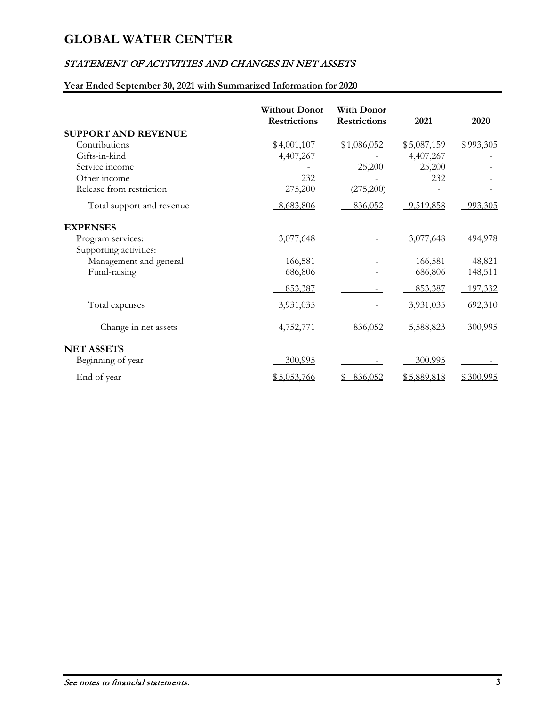## STATEMENT OF ACTIVITIES AND CHANGES IN NET ASSETS

## **Year Ended September 30, 2021 with Summarized Information for 2020**

|                            | <b>Without Donor</b><br><b>Restrictions</b> | <b>With Donor</b><br><b>Restrictions</b> | 2021        | 2020      |
|----------------------------|---------------------------------------------|------------------------------------------|-------------|-----------|
| <b>SUPPORT AND REVENUE</b> |                                             |                                          |             |           |
| Contributions              | \$4,001,107                                 | \$1,086,052                              | \$5,087,159 | \$993,305 |
| Gifts-in-kind              | 4,407,267                                   |                                          | 4,407,267   |           |
| Service income             |                                             | 25,200                                   | 25,200      |           |
| Other income               | 232                                         |                                          | 232         |           |
| Release from restriction   | 275,200                                     | (275,200)                                |             |           |
| Total support and revenue  | 8,683,806                                   | 836,052                                  | 9,519,858   | 993,305   |
| <b>EXPENSES</b>            |                                             |                                          |             |           |
| Program services:          | 3,077,648                                   |                                          | 3,077,648   | 494,978   |
| Supporting activities:     |                                             |                                          |             |           |
| Management and general     | 166,581                                     |                                          | 166,581     | 48,821    |
| Fund-raising               | 686,806                                     |                                          | 686,806     | 148,511   |
|                            | 853,387                                     |                                          | 853,387     | 197,332   |
| Total expenses             | 3,931,035                                   |                                          | 3,931,035   | 692,310   |
| Change in net assets       | 4,752,771                                   | 836,052                                  | 5,588,823   | 300,995   |
| <b>NET ASSETS</b>          |                                             |                                          |             |           |
| Beginning of year          | 300,995                                     |                                          | 300,995     |           |
| End of year                | \$5,053,766                                 | 836,052                                  | \$5,889,818 | \$300,995 |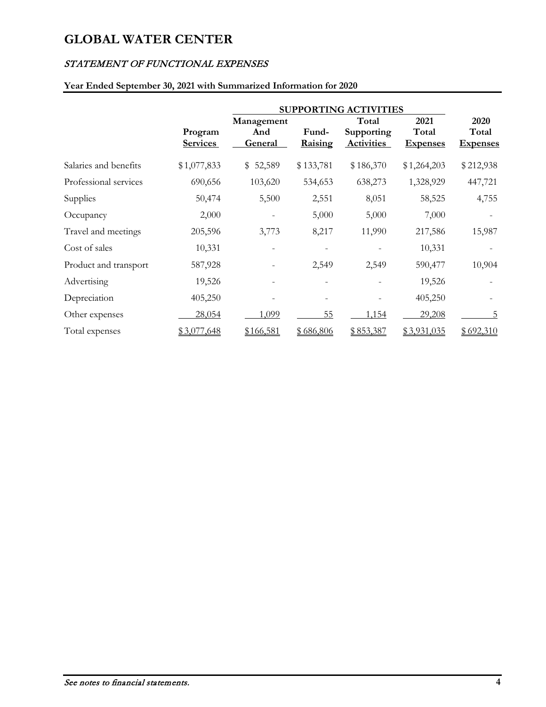## STATEMENT OF FUNCTIONAL EXPENSES

## **Year Ended September 30, 2021 with Summarized Information for 2020**

|                       |                            |                                     |                  | <b>SUPPORTING ACTIVITIES</b>             |                                  |                                  |
|-----------------------|----------------------------|-------------------------------------|------------------|------------------------------------------|----------------------------------|----------------------------------|
|                       | Program<br><b>Services</b> | Management<br>And<br><b>General</b> | Fund-<br>Raising | Total<br>Supporting<br><b>Activities</b> | 2021<br>Total<br><b>Expenses</b> | 2020<br>Total<br><b>Expenses</b> |
| Salaries and benefits | \$1,077,833                | \$52,589                            | \$133,781        | \$186,370                                | \$1,264,203                      | \$212,938                        |
| Professional services | 690,656                    | 103,620                             | 534,653          | 638,273                                  | 1,328,929                        | 447,721                          |
| Supplies              | 50,474                     | 5,500                               | 2,551            | 8,051                                    | 58,525                           | 4,755                            |
| Occupancy             | 2,000                      |                                     | 5,000            | 5,000                                    | 7,000                            |                                  |
| Travel and meetings   | 205,596                    | 3,773                               | 8,217            | 11,990                                   | 217,586                          | 15,987                           |
| Cost of sales         | 10,331                     |                                     |                  |                                          | 10,331                           |                                  |
| Product and transport | 587,928                    |                                     | 2,549            | 2,549                                    | 590,477                          | 10,904                           |
| Advertising           | 19,526                     |                                     |                  |                                          | 19,526                           |                                  |
| Depreciation          | 405,250                    |                                     |                  |                                          | 405,250                          |                                  |
| Other expenses        | 28,054                     | 1,099                               | 55               | 1,154                                    | 29,208                           | 5                                |
| Total expenses        | \$3,077,648                | \$166,581                           | \$686,806        | \$853,387                                | \$3,931,035                      | \$692,310                        |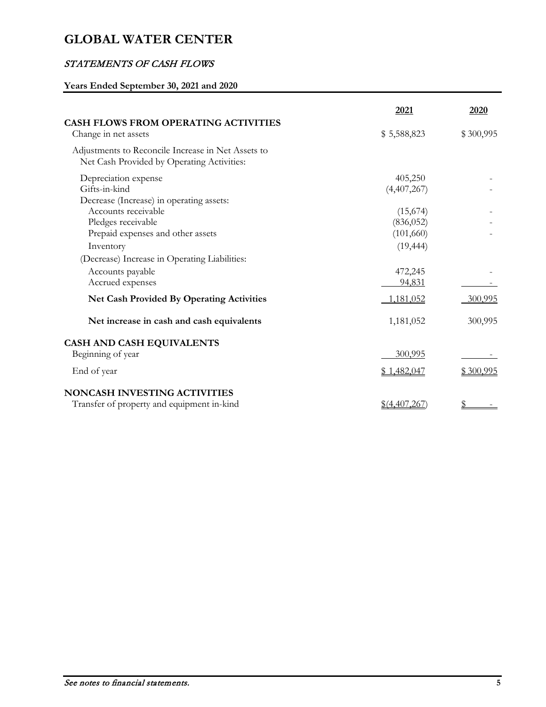## STATEMENTS OF CASH FLOWS

## **Years Ended September 30, 2021 and 2020**

|                                                                                                  | 2021                                 | 2020      |
|--------------------------------------------------------------------------------------------------|--------------------------------------|-----------|
| <b>CASH FLOWS FROM OPERATING ACTIVITIES</b><br>Change in net assets                              | \$5,588,823                          | \$300,995 |
| Adjustments to Reconcile Increase in Net Assets to<br>Net Cash Provided by Operating Activities: |                                      |           |
| Depreciation expense<br>Gifts-in-kind<br>Decrease (Increase) in operating assets:                | 405,250<br>(4,407,267)               |           |
| Accounts receivable<br>Pledges receivable<br>Prepaid expenses and other assets                   | (15,674)<br>(836, 052)<br>(101, 660) |           |
| Inventory<br>(Decrease) Increase in Operating Liabilities:                                       | (19, 444)                            |           |
| Accounts payable<br>Accrued expenses                                                             | 472,245<br>94,831                    |           |
| <b>Net Cash Provided By Operating Activities</b>                                                 | 1,181,052                            | 300,995   |
| Net increase in cash and cash equivalents                                                        | 1,181,052                            | 300,995   |
| <b>CASH AND CASH EQUIVALENTS</b><br>Beginning of year                                            | <u>300,995</u>                       |           |
| End of year                                                                                      | \$1,482,047                          | \$300,995 |
| <b>NONCASH INVESTING ACTIVITIES</b><br>Transfer of property and equipment in-kind                | \$ (4,407,267)                       |           |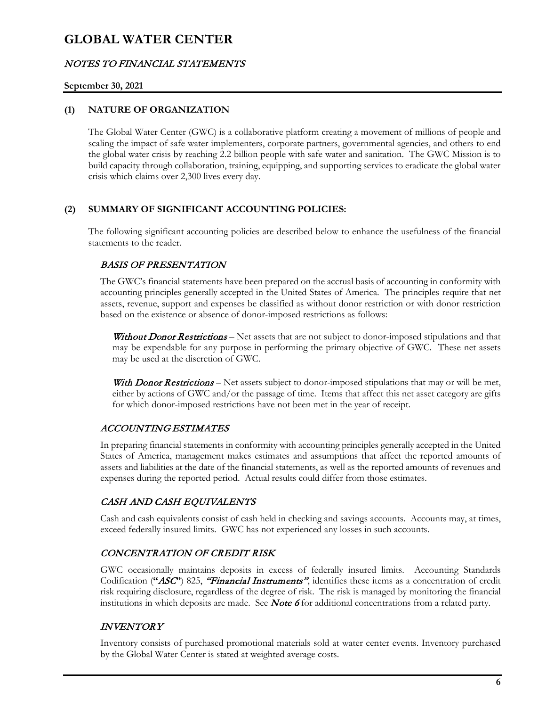#### NOTES TO FINANCIAL STATEMENTS

**September 30, 2021**

#### **(1) NATURE OF ORGANIZATION**

The Global Water Center (GWC) is a collaborative platform creating a movement of millions of people and scaling the impact of safe water implementers, corporate partners, governmental agencies, and others to end the global water crisis by reaching 2.2 billion people with safe water and sanitation. The GWC Mission is to build capacity through collaboration, training, equipping, and supporting services to eradicate the global water crisis which claims over 2,300 lives every day.

#### **(2) SUMMARY OF SIGNIFICANT ACCOUNTING POLICIES:**

The following significant accounting policies are described below to enhance the usefulness of the financial statements to the reader.

#### BASIS OF PRESENTATION

The GWC's financial statements have been prepared on the accrual basis of accounting in conformity with accounting principles generally accepted in the United States of America. The principles require that net assets, revenue, support and expenses be classified as without donor restriction or with donor restriction based on the existence or absence of donor-imposed restrictions as follows:

Without Donor Restrictions – Net assets that are not subject to donor-imposed stipulations and that may be expendable for any purpose in performing the primary objective of GWC. These net assets may be used at the discretion of GWC.

With Donor Restrictions – Net assets subject to donor-imposed stipulations that may or will be met, either by actions of GWC and/or the passage of time. Items that affect this net asset category are gifts for which donor-imposed restrictions have not been met in the year of receipt.

#### ACCOUNTING ESTIMATES

In preparing financial statements in conformity with accounting principles generally accepted in the United States of America, management makes estimates and assumptions that affect the reported amounts of assets and liabilities at the date of the financial statements, as well as the reported amounts of revenues and expenses during the reported period. Actual results could differ from those estimates.

#### CASH AND CASH EQUIVALENTS

Cash and cash equivalents consist of cash held in checking and savings accounts. Accounts may, at times, exceed federally insured limits. GWC has not experienced any losses in such accounts.

#### CONCENTRATION OF CREDIT RISK

GWC occasionally maintains deposits in excess of federally insured limits. Accounting Standards Codification ("ASC") 825, "Financial Instruments", identifies these items as a concentration of credit risk requiring disclosure, regardless of the degree of risk. The risk is managed by monitoring the financial institutions in which deposits are made. See **Note 6** for additional concentrations from a related party.

#### INVENTORY

Inventory consists of purchased promotional materials sold at water center events. Inventory purchased by the Global Water Center is stated at weighted average costs.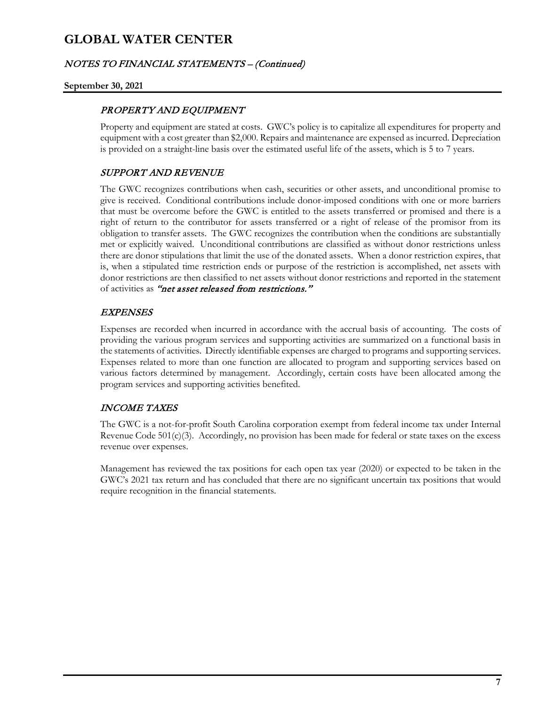#### NOTES TO FINANCIAL STATEMENTS – (Continued)

**September 30, 2021**

#### PROPERTY AND EQUIPMENT

Property and equipment are stated at costs. GWC's policy is to capitalize all expenditures for property and equipment with a cost greater than \$2,000. Repairs and maintenance are expensed as incurred. Depreciation is provided on a straight-line basis over the estimated useful life of the assets, which is 5 to 7 years.

#### SUPPORT AND REVENUE

The GWC recognizes contributions when cash, securities or other assets, and unconditional promise to give is received. Conditional contributions include donor-imposed conditions with one or more barriers that must be overcome before the GWC is entitled to the assets transferred or promised and there is a right of return to the contributor for assets transferred or a right of release of the promisor from its obligation to transfer assets. The GWC recognizes the contribution when the conditions are substantially met or explicitly waived. Unconditional contributions are classified as without donor restrictions unless there are donor stipulations that limit the use of the donated assets. When a donor restriction expires, that is, when a stipulated time restriction ends or purpose of the restriction is accomplished, net assets with donor restrictions are then classified to net assets without donor restrictions and reported in the statement of activities as "net asset released from restrictions."

#### EXPENSES

Expenses are recorded when incurred in accordance with the accrual basis of accounting. The costs of providing the various program services and supporting activities are summarized on a functional basis in the statements of activities. Directly identifiable expenses are charged to programs and supporting services. Expenses related to more than one function are allocated to program and supporting services based on various factors determined by management. Accordingly, certain costs have been allocated among the program services and supporting activities benefited.

### INCOME TAXES

The GWC is a not-for-profit South Carolina corporation exempt from federal income tax under Internal Revenue Code 501(c)(3). Accordingly, no provision has been made for federal or state taxes on the excess revenue over expenses.

Management has reviewed the tax positions for each open tax year (2020) or expected to be taken in the GWC's 2021 tax return and has concluded that there are no significant uncertain tax positions that would require recognition in the financial statements.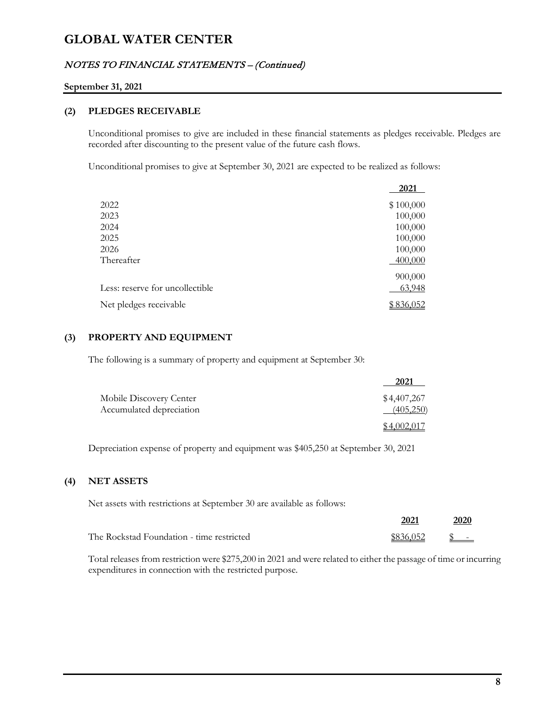#### NOTES TO FINANCIAL STATEMENTS – (Continued)

#### **September 31, 2021**

#### **(2) PLEDGES RECEIVABLE**

Unconditional promises to give are included in these financial statements as pledges receivable. Pledges are recorded after discounting to the present value of the future cash flows.

Unconditional promises to give at September 30, 2021 are expected to be realized as follows:

|                                 | 2021      |
|---------------------------------|-----------|
| 2022                            | \$100,000 |
| 2023                            | 100,000   |
| 2024                            | 100,000   |
| 2025                            | 100,000   |
| 2026                            | 100,000   |
| Thereafter                      | 400,000   |
|                                 | 900,000   |
| Less: reserve for uncollectible | 63,948    |
| Net pledges receivable          | \$836,052 |

#### **(3) PROPERTY AND EQUIPMENT**

The following is a summary of property and equipment at September 30:

| 2021                     |
|--------------------------|
| \$4,407,267<br>(405,250) |
| \$4,002,017              |
|                          |

Depreciation expense of property and equipment was \$405,250 at September 30, 2021

#### **(4) NET ASSETS**

Net assets with restrictions at September 30 are available as follows:

|                                           | 2021            | 2020 |
|-------------------------------------------|-----------------|------|
| The Rockstad Foundation - time restricted | $$836,052$ \$ - |      |

Total releases from restriction were \$275,200 in 2021 and were related to either the passage of time or incurring expenditures in connection with the restricted purpose.